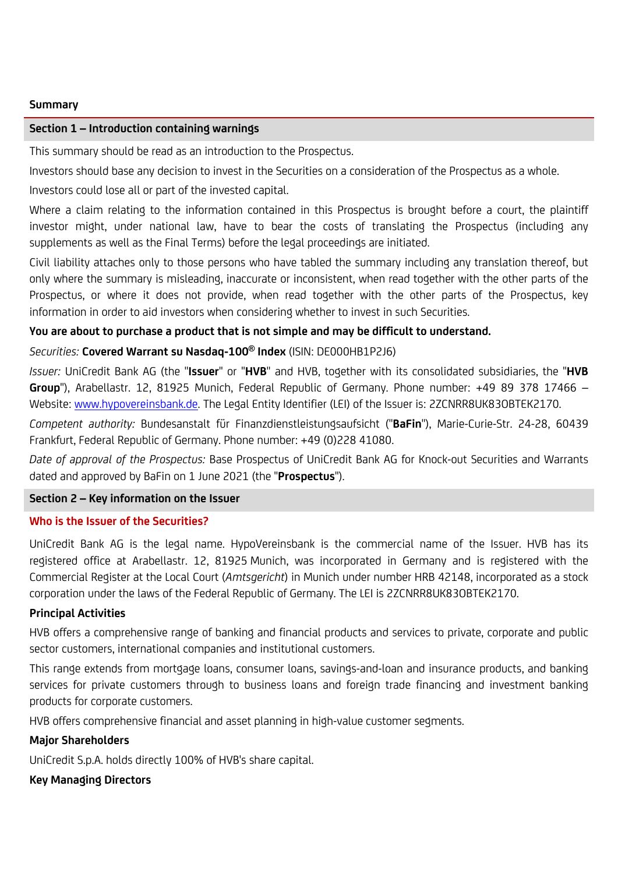#### **Summary**

#### **Section 1 – Introduction containing warnings**

This summary should be read as an introduction to the Prospectus.

Investors should base any decision to invest in the Securities on a consideration of the Prospectus as a whole.

Investors could lose all or part of the invested capital.

Where a claim relating to the information contained in this Prospectus is brought before a court, the plaintiff investor might, under national law, have to bear the costs of translating the Prospectus (including any supplements as well as the Final Terms) before the legal proceedings are initiated.

Civil liability attaches only to those persons who have tabled the summary including any translation thereof, but only where the summary is misleading, inaccurate or inconsistent, when read together with the other parts of the Prospectus, or where it does not provide, when read together with the other parts of the Prospectus, key information in order to aid investors when considering whether to invest in such Securities.

# **You are about to purchase a product that is not simple and may be difficult to understand.**

# *Securities:* **Covered Warrant su Nasdaq-100® Index** (ISIN: DE000HB1P2J6)

*Issuer:* UniCredit Bank AG (the "**Issuer**" or "**HVB**" and HVB, together with its consolidated subsidiaries, the "**HVB Group**"), Arabellastr. 12, 81925 Munich, Federal Republic of Germany. Phone number: +49 89 378 17466 – Website: [www.hypovereinsbank.de.](http://www.hypovereinsbank.de/) The Legal Entity Identifier (LEI) of the Issuer is: 2ZCNRR8UK83OBTEK2170.

*Competent authority:* Bundesanstalt für Finanzdienstleistungsaufsicht ("**BaFin**"), Marie-Curie-Str. 24-28, 60439 Frankfurt, Federal Republic of Germany. Phone number: +49 (0)228 41080.

*Date of approval of the Prospectus:* Base Prospectus of UniCredit Bank AG for Knock-out Securities and Warrants dated and approved by BaFin on 1 June 2021 (the "**Prospectus**").

### **Section 2 – Key information on the Issuer**

### **Who is the Issuer of the Securities?**

UniCredit Bank AG is the legal name. HypoVereinsbank is the commercial name of the Issuer. HVB has its registered office at Arabellastr. 12, 81925 Munich, was incorporated in Germany and is registered with the Commercial Register at the Local Court (*Amtsgericht*) in Munich under number HRB 42148, incorporated as a stock corporation under the laws of the Federal Republic of Germany. The LEI is 2ZCNRR8UK83OBTEK2170.

### **Principal Activities**

HVB offers a comprehensive range of banking and financial products and services to private, corporate and public sector customers, international companies and institutional customers.

This range extends from mortgage loans, consumer loans, savings-and-loan and insurance products, and banking services for private customers through to business loans and foreign trade financing and investment banking products for corporate customers.

HVB offers comprehensive financial and asset planning in high-value customer segments.

### **Major Shareholders**

UniCredit S.p.A. holds directly 100% of HVB's share capital.

### **Key Managing Directors**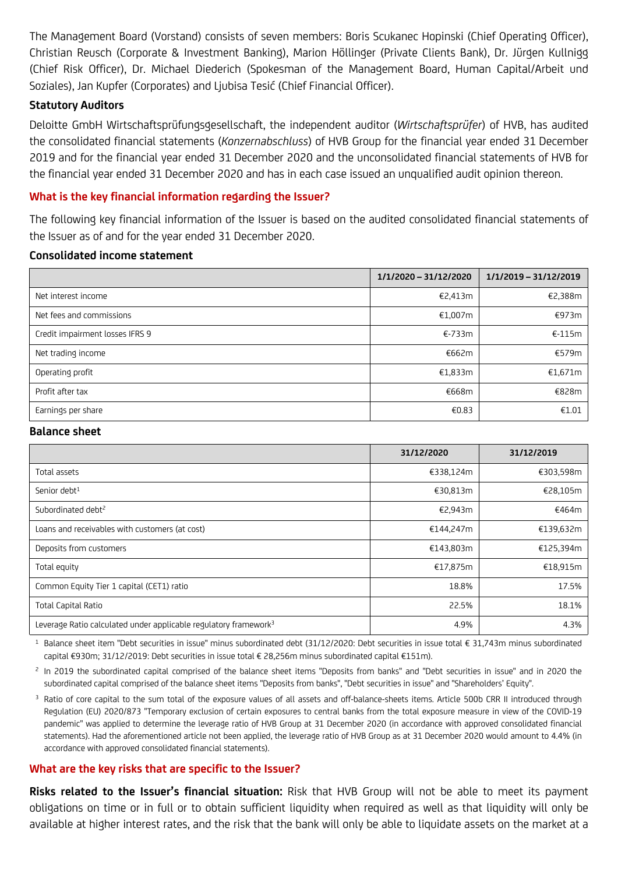The Management Board (Vorstand) consists of seven members: Boris Scukanec Hopinski (Chief Operating Officer), Christian Reusch (Corporate & Investment Banking), Marion Höllinger (Private Clients Bank), Dr. Jürgen Kullnigg (Chief Risk Officer), Dr. Michael Diederich (Spokesman of the Management Board, Human Capital/Arbeit und Soziales), Jan Kupfer (Corporates) and Ljubisa Tesić (Chief Financial Officer).

### **Statutory Auditors**

Deloitte GmbH Wirtschaftsprüfungsgesellschaft, the independent auditor (*Wirtschaftsprüfer*) of HVB, has audited the consolidated financial statements (*Konzernabschluss*) of HVB Group for the financial year ended 31 December 2019 and for the financial year ended 31 December 2020 and the unconsolidated financial statements of HVB for the financial year ended 31 December 2020 and has in each case issued an unqualified audit opinion thereon.

# **What is the key financial information regarding the Issuer?**

The following key financial information of the Issuer is based on the audited consolidated financial statements of the Issuer as of and for the year ended 31 December 2020.

#### **Consolidated income statement**

|                                 | 1/1/2020 - 31/12/2020 | 1/1/2019 - 31/12/2019 |
|---------------------------------|-----------------------|-----------------------|
| Net interest income             | €2,413m               | €2,388m               |
| Net fees and commissions        | €1,007m               | €973m                 |
| Credit impairment losses IFRS 9 | €-733m                | $E-115m$              |
| Net trading income              | €662m                 | €579m                 |
| Operating profit                | €1,833m               | €1,671m               |
| Profit after tax                | €668m                 | €828m                 |
| Earnings per share              | €0.83                 | €1.01                 |

#### **Balance sheet**

|                                                                              | 31/12/2020 | 31/12/2019 |
|------------------------------------------------------------------------------|------------|------------|
| Total assets                                                                 | €338,124m  | €303,598m  |
| Senior debt <sup>1</sup>                                                     | €30,813m   | €28,105m   |
| Subordinated debt <sup>2</sup>                                               | €2,943m    | €464m      |
| Loans and receivables with customers (at cost)                               | €144,247m  | €139,632m  |
| Deposits from customers                                                      | €143,803m  | €125,394m  |
| Total equity                                                                 | €17,875m   | €18,915m   |
| Common Equity Tier 1 capital (CET1) ratio                                    | 18.8%      | 17.5%      |
| <b>Total Capital Ratio</b>                                                   | 22.5%      | 18.1%      |
| Leverage Ratio calculated under applicable regulatory framework <sup>3</sup> | 4.9%       | 4.3%       |

<sup>1</sup> Balance sheet item "Debt securities in issue" minus subordinated debt (31/12/2020: Debt securities in issue total € 31,743m minus subordinated capital €930m; 31/12/2019: Debt securities in issue total € 28,256m minus subordinated capital €151m).

 $<sup>2</sup>$  In 2019 the subordinated capital comprised of the balance sheet items "Deposits from banks" and "Debt securities in issue" and in 2020 the</sup> subordinated capital comprised of the balance sheet items "Deposits from banks", "Debt securities in issue" and "Shareholders' Equity".

<sup>3</sup> Ratio of core capital to the sum total of the exposure values of all assets and off-balance-sheets items. Article 500b CRR II introduced through Regulation (EU) 2020/873 "Temporary exclusion of certain exposures to central banks from the total exposure measure in view of the COVID-19 pandemic" was applied to determine the leverage ratio of HVB Group at 31 December 2020 (in accordance with approved consolidated financial statements). Had the aforementioned article not been applied, the leverage ratio of HVB Group as at 31 December 2020 would amount to 4.4% (in accordance with approved consolidated financial statements).

# **What are the key risks that are specific to the Issuer?**

**Risks related to the Issuer's financial situation:** Risk that HVB Group will not be able to meet its payment obligations on time or in full or to obtain sufficient liquidity when required as well as that liquidity will only be available at higher interest rates, and the risk that the bank will only be able to liquidate assets on the market at a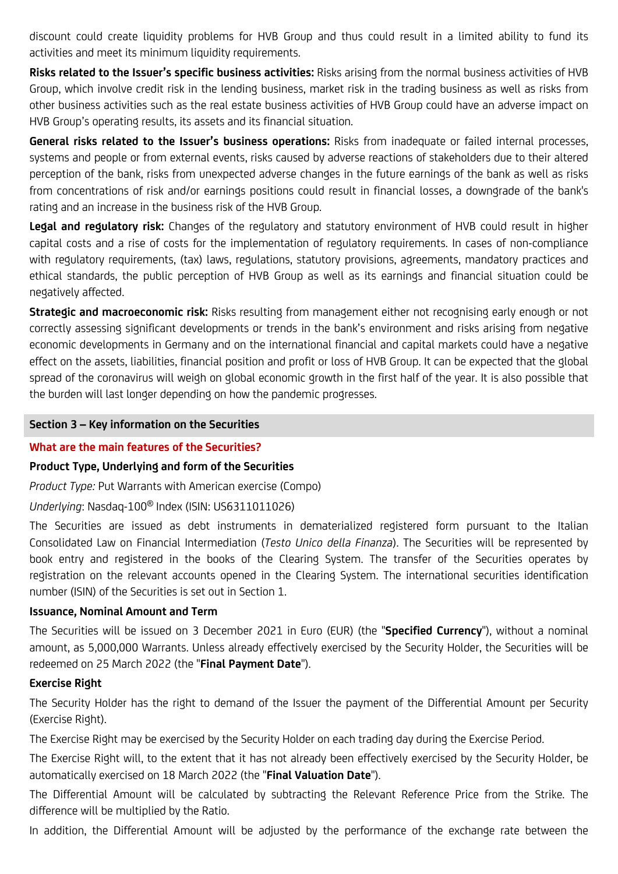discount could create liquidity problems for HVB Group and thus could result in a limited ability to fund its activities and meet its minimum liquidity requirements.

**Risks related to the Issuer's specific business activities:** Risks arising from the normal business activities of HVB Group, which involve credit risk in the lending business, market risk in the trading business as well as risks from other business activities such as the real estate business activities of HVB Group could have an adverse impact on HVB Group's operating results, its assets and its financial situation.

**General risks related to the Issuer's business operations:** Risks from inadequate or failed internal processes, systems and people or from external events, risks caused by adverse reactions of stakeholders due to their altered perception of the bank, risks from unexpected adverse changes in the future earnings of the bank as well as risks from concentrations of risk and/or earnings positions could result in financial losses, a downgrade of the bank's rating and an increase in the business risk of the HVB Group.

Ledal and requlatory risk: Changes of the regulatory and statutory environment of HVB could result in higher capital costs and a rise of costs for the implementation of regulatory requirements. In cases of non-compliance with regulatory requirements, (tax) laws, regulations, statutory provisions, agreements, mandatory practices and ethical standards, the public perception of HVB Group as well as its earnings and financial situation could be negatively affected.

**Strategic and macroeconomic risk:** Risks resulting from management either not recognising early enough or not correctly assessing significant developments or trends in the bank's environment and risks arising from negative economic developments in Germany and on the international financial and capital markets could have a negative effect on the assets, liabilities, financial position and profit or loss of HVB Group. It can be expected that the global spread of the coronavirus will weigh on global economic growth in the first half of the year. It is also possible that the burden will last longer depending on how the pandemic progresses.

# **Section 3 – Key information on the Securities**

# **What are the main features of the Securities?**

# **Product Type, Underlying and form of the Securities**

*Product Type:* Put Warrants with American exercise (Compo)

*Underlying*: Nasdaq-100® Index (ISIN: US6311011026)

The Securities are issued as debt instruments in dematerialized registered form pursuant to the Italian Consolidated Law on Financial Intermediation (*Testo Unico della Finanza*). The Securities will be represented by book entry and registered in the books of the Clearing System. The transfer of the Securities operates by registration on the relevant accounts opened in the Clearing System. The international securities identification number (ISIN) of the Securities is set out in Section 1.

# **Issuance, Nominal Amount and Term**

The Securities will be issued on 3 December 2021 in Euro (EUR) (the "**Specified Currency**"), without a nominal amount, as 5,000,000 Warrants. Unless already effectively exercised by the Security Holder, the Securities will be redeemed on 25 March 2022 (the "**Final Payment Date**").

# **Exercise Right**

The Security Holder has the right to demand of the Issuer the payment of the Differential Amount per Security (Exercise Right).

The Exercise Right may be exercised by the Security Holder on each trading day during the Exercise Period.

The Exercise Right will, to the extent that it has not already been effectively exercised by the Security Holder, be automatically exercised on 18 March 2022 (the "**Final Valuation Date**").

The Differential Amount will be calculated by subtracting the Relevant Reference Price from the Strike. The difference will be multiplied by the Ratio.

In addition, the Differential Amount will be adjusted by the performance of the exchange rate between the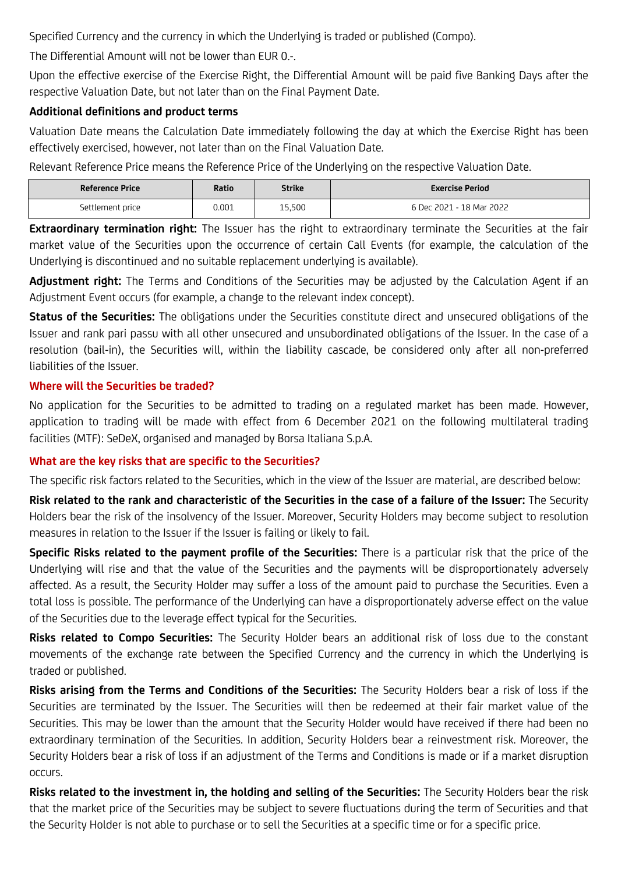Specified Currency and the currency in which the Underlying is traded or published (Compo).

The Differential Amount will not be lower than EUR 0.-.

Upon the effective exercise of the Exercise Right, the Differential Amount will be paid five Banking Days after the respective Valuation Date, but not later than on the Final Payment Date.

# **Additional definitions and product terms**

Valuation Date means the Calculation Date immediately following the day at which the Exercise Right has been effectively exercised, however, not later than on the Final Valuation Date.

Relevant Reference Price means the Reference Price of the Underlying on the respective Valuation Date.

| <b>Reference Price</b> | Ratio | Strike | <b>Exercise Period</b>   |
|------------------------|-------|--------|--------------------------|
| Settlement price       | 0.001 | 15,500 | 6 Dec 2021 - 18 Mar 2022 |

**Extraordinary termination right:** The Issuer has the right to extraordinary terminate the Securities at the fair market value of the Securities upon the occurrence of certain Call Events (for example, the calculation of the Underlying is discontinued and no suitable replacement underlying is available).

**Adjustment right:** The Terms and Conditions of the Securities may be adjusted by the Calculation Agent if an Adjustment Event occurs (for example, a change to the relevant index concept).

**Status of the Securities:** The obligations under the Securities constitute direct and unsecured obligations of the Issuer and rank pari passu with all other unsecured and unsubordinated obligations of the Issuer. In the case of a resolution (bail-in), the Securities will, within the liability cascade, be considered only after all non-preferred liabilities of the Issuer.

# **Where will the Securities be traded?**

No application for the Securities to be admitted to trading on a regulated market has been made. However, application to trading will be made with effect from 6 December 2021 on the following multilateral trading facilities (MTF): SeDeX, organised and managed by Borsa Italiana S.p.A.

# **What are the key risks that are specific to the Securities?**

The specific risk factors related to the Securities, which in the view of the Issuer are material, are described below:

**Risk related to the rank and characteristic of the Securities in the case of a failure of the Issuer:** The Security Holders bear the risk of the insolvency of the Issuer. Moreover, Security Holders may become subject to resolution measures in relation to the Issuer if the Issuer is failing or likely to fail.

**Specific Risks related to the payment profile of the Securities:** There is a particular risk that the price of the Underlying will rise and that the value of the Securities and the payments will be disproportionately adversely affected. As a result, the Security Holder may suffer a loss of the amount paid to purchase the Securities. Even a total loss is possible. The performance of the Underlying can have a disproportionately adverse effect on the value of the Securities due to the leverage effect typical for the Securities.

**Risks related to Compo Securities:** The Security Holder bears an additional risk of loss due to the constant movements of the exchange rate between the Specified Currency and the currency in which the Underlying is traded or published.

**Risks arising from the Terms and Conditions of the Securities:** The Security Holders bear a risk of loss if the Securities are terminated by the Issuer. The Securities will then be redeemed at their fair market value of the Securities. This may be lower than the amount that the Security Holder would have received if there had been no extraordinary termination of the Securities. In addition, Security Holders bear a reinvestment risk. Moreover, the Security Holders bear a risk of loss if an adjustment of the Terms and Conditions is made or if a market disruption occurs.

**Risks related to the investment in, the holding and selling of the Securities:** The Security Holders bear the risk that the market price of the Securities may be subject to severe fluctuations during the term of Securities and that the Security Holder is not able to purchase or to sell the Securities at a specific time or for a specific price.